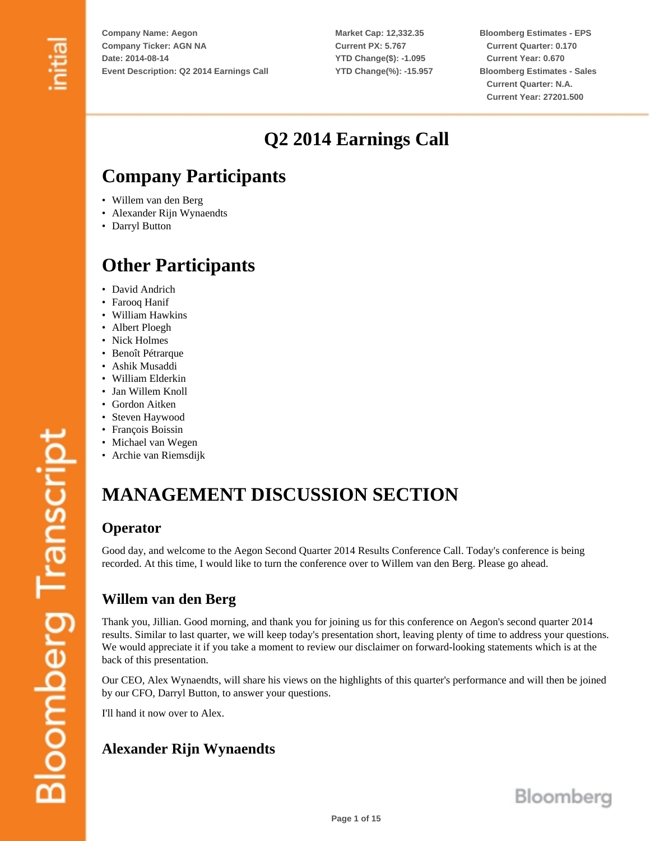**Market Cap: 12,332.35 Current PX: 5.767 YTD Change(\$): -1.095 YTD Change(%): -15.957** **Bloomberg Estimates - EPS Current Quarter: 0.170 Current Year: 0.670 Bloomberg Estimates - Sales Current Quarter: N.A. Current Year: 27201.500**

# **Q2 2014 Earnings Call**

# **Company Participants**

- Willem van den Berg
- Alexander Rijn Wynaendts
- Darryl Button

# **Other Participants**

- David Andrich
- Farooq Hanif
- William Hawkins
- Albert Ploegh
- Nick Holmes
- Benoît Pétrarque
- Ashik Musaddi
- William Elderkin
- Jan Willem Knoll
- Gordon Aitken
- Steven Haywood
- François Boissin
- Michael van Wegen
- Archie van Riemsdijk

# **MANAGEMENT DISCUSSION SECTION**

#### **Operator**

Good day, and welcome to the Aegon Second Quarter 2014 Results Conference Call. Today's conference is being recorded. At this time, I would like to turn the conference over to Willem van den Berg. Please go ahead.

# **Willem van den Berg**

Thank you, Jillian. Good morning, and thank you for joining us for this conference on Aegon's second quarter 2014 results. Similar to last quarter, we will keep today's presentation short, leaving plenty of time to address your questions. We would appreciate it if you take a moment to review our disclaimer on forward-looking statements which is at the back of this presentation.

Our CEO, Alex Wynaendts, will share his views on the highlights of this quarter's performance and will then be joined by our CFO, Darryl Button, to answer your questions.

I'll hand it now over to Alex.

# **Alexander Rijn Wynaendts**

**Bloomberg Transcript**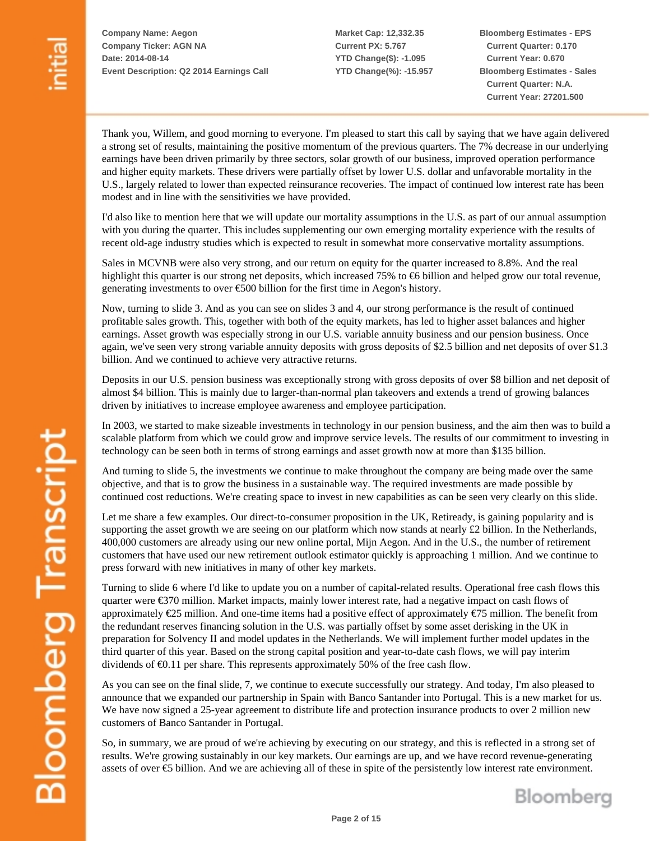**Market Cap: 12,332.35 Current PX: 5.767 YTD Change(\$): -1.095 YTD Change(%): -15.957** **Bloomberg Estimates - EPS Current Quarter: 0.170 Current Year: 0.670 Bloomberg Estimates - Sales Current Quarter: N.A. Current Year: 27201.500**

Thank you, Willem, and good morning to everyone. I'm pleased to start this call by saying that we have again delivered a strong set of results, maintaining the positive momentum of the previous quarters. The 7% decrease in our underlying earnings have been driven primarily by three sectors, solar growth of our business, improved operation performance and higher equity markets. These drivers were partially offset by lower U.S. dollar and unfavorable mortality in the U.S., largely related to lower than expected reinsurance recoveries. The impact of continued low interest rate has been modest and in line with the sensitivities we have provided.

I'd also like to mention here that we will update our mortality assumptions in the U.S. as part of our annual assumption with you during the quarter. This includes supplementing our own emerging mortality experience with the results of recent old-age industry studies which is expected to result in somewhat more conservative mortality assumptions.

Sales in MCVNB were also very strong, and our return on equity for the quarter increased to 8.8%. And the real highlight this quarter is our strong net deposits, which increased 75% to €6 billion and helped grow our total revenue, generating investments to over €500 billion for the first time in Aegon's history.

Now, turning to slide 3. And as you can see on slides 3 and 4, our strong performance is the result of continued profitable sales growth. This, together with both of the equity markets, has led to higher asset balances and higher earnings. Asset growth was especially strong in our U.S. variable annuity business and our pension business. Once again, we've seen very strong variable annuity deposits with gross deposits of \$2.5 billion and net deposits of over \$1.3 billion. And we continued to achieve very attractive returns.

Deposits in our U.S. pension business was exceptionally strong with gross deposits of over \$8 billion and net deposit of almost \$4 billion. This is mainly due to larger-than-normal plan takeovers and extends a trend of growing balances driven by initiatives to increase employee awareness and employee participation.

In 2003, we started to make sizeable investments in technology in our pension business, and the aim then was to build a scalable platform from which we could grow and improve service levels. The results of our commitment to investing in technology can be seen both in terms of strong earnings and asset growth now at more than \$135 billion.

And turning to slide 5, the investments we continue to make throughout the company are being made over the same objective, and that is to grow the business in a sustainable way. The required investments are made possible by continued cost reductions. We're creating space to invest in new capabilities as can be seen very clearly on this slide.

Let me share a few examples. Our direct-to-consumer proposition in the UK, Retiready, is gaining popularity and is supporting the asset growth we are seeing on our platform which now stands at nearly  $\pounds 2$  billion. In the Netherlands, 400,000 customers are already using our new online portal, Mijn Aegon. And in the U.S., the number of retirement customers that have used our new retirement outlook estimator quickly is approaching 1 million. And we continue to press forward with new initiatives in many of other key markets.

Turning to slide 6 where I'd like to update you on a number of capital-related results. Operational free cash flows this quarter were €370 million. Market impacts, mainly lower interest rate, had a negative impact on cash flows of approximately €25 million. And one-time items had a positive effect of approximately €75 million. The benefit from the redundant reserves financing solution in the U.S. was partially offset by some asset derisking in the UK in preparation for Solvency II and model updates in the Netherlands. We will implement further model updates in the third quarter of this year. Based on the strong capital position and year-to-date cash flows, we will pay interim dividends of €0.11 per share. This represents approximately 50% of the free cash flow.

As you can see on the final slide, 7, we continue to execute successfully our strategy. And today, I'm also pleased to announce that we expanded our partnership in Spain with Banco Santander into Portugal. This is a new market for us. We have now signed a 25-year agreement to distribute life and protection insurance products to over 2 million new customers of Banco Santander in Portugal.

So, in summary, we are proud of we're achieving by executing on our strategy, and this is reflected in a strong set of results. We're growing sustainably in our key markets. Our earnings are up, and we have record revenue-generating assets of over €5 billion. And we are achieving all of these in spite of the persistently low interest rate environment.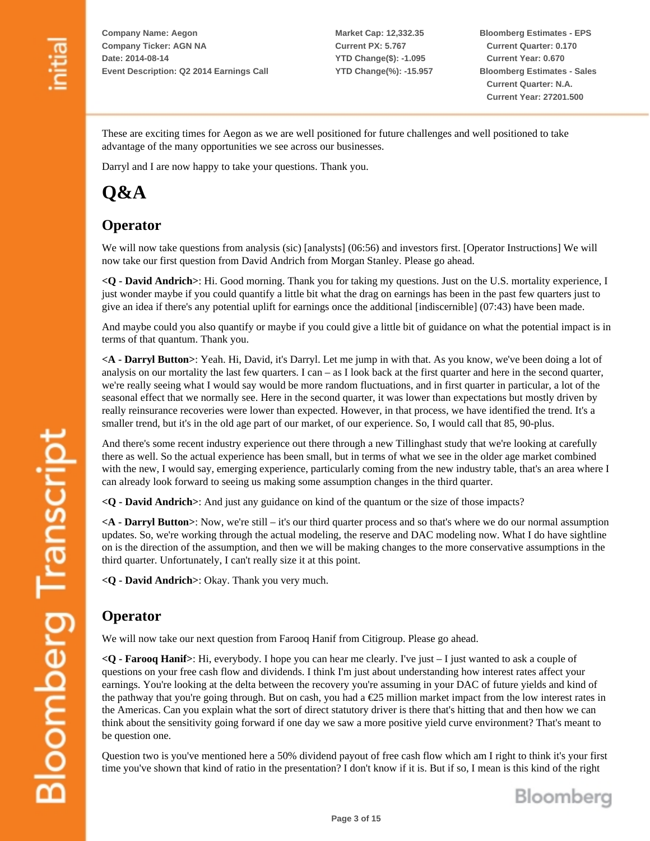**Market Cap: 12,332.35 Current PX: 5.767 YTD Change(\$): -1.095 YTD Change(%): -15.957** **Bloomberg Estimates - EPS Current Quarter: 0.170 Current Year: 0.670 Bloomberg Estimates - Sales Current Quarter: N.A. Current Year: 27201.500**

These are exciting times for Aegon as we are well positioned for future challenges and well positioned to take advantage of the many opportunities we see across our businesses.

Darryl and I are now happy to take your questions. Thank you.

# **Q&A**

# **Operator**

We will now take questions from analysis (sic) [analysts] (06:56) and investors first. [Operator Instructions] We will now take our first question from David Andrich from Morgan Stanley. Please go ahead.

**<Q - David Andrich>**: Hi. Good morning. Thank you for taking my questions. Just on the U.S. mortality experience, I just wonder maybe if you could quantify a little bit what the drag on earnings has been in the past few quarters just to give an idea if there's any potential uplift for earnings once the additional [indiscernible] (07:43) have been made.

And maybe could you also quantify or maybe if you could give a little bit of guidance on what the potential impact is in terms of that quantum. Thank you.

**<A - Darryl Button>**: Yeah. Hi, David, it's Darryl. Let me jump in with that. As you know, we've been doing a lot of analysis on our mortality the last few quarters. I can – as I look back at the first quarter and here in the second quarter, we're really seeing what I would say would be more random fluctuations, and in first quarter in particular, a lot of the seasonal effect that we normally see. Here in the second quarter, it was lower than expectations but mostly driven by really reinsurance recoveries were lower than expected. However, in that process, we have identified the trend. It's a smaller trend, but it's in the old age part of our market, of our experience. So, I would call that 85, 90-plus.

And there's some recent industry experience out there through a new Tillinghast study that we're looking at carefully there as well. So the actual experience has been small, but in terms of what we see in the older age market combined with the new, I would say, emerging experience, particularly coming from the new industry table, that's an area where I can already look forward to seeing us making some assumption changes in the third quarter.

**<Q - David Andrich>**: And just any guidance on kind of the quantum or the size of those impacts?

**<A - Darryl Button>**: Now, we're still – it's our third quarter process and so that's where we do our normal assumption updates. So, we're working through the actual modeling, the reserve and DAC modeling now. What I do have sightline on is the direction of the assumption, and then we will be making changes to the more conservative assumptions in the third quarter. Unfortunately, I can't really size it at this point.

**<Q - David Andrich>**: Okay. Thank you very much.

# **Operator**

We will now take our next question from Farooq Hanif from Citigroup. Please go ahead.

**<Q - Farooq Hanif>**: Hi, everybody. I hope you can hear me clearly. I've just – I just wanted to ask a couple of questions on your free cash flow and dividends. I think I'm just about understanding how interest rates affect your earnings. You're looking at the delta between the recovery you're assuming in your DAC of future yields and kind of the pathway that you're going through. But on cash, you had a  $E25$  million market impact from the low interest rates in the Americas. Can you explain what the sort of direct statutory driver is there that's hitting that and then how we can think about the sensitivity going forward if one day we saw a more positive yield curve environment? That's meant to be question one.

Question two is you've mentioned here a 50% dividend payout of free cash flow which am I right to think it's your first time you've shown that kind of ratio in the presentation? I don't know if it is. But if so, I mean is this kind of the right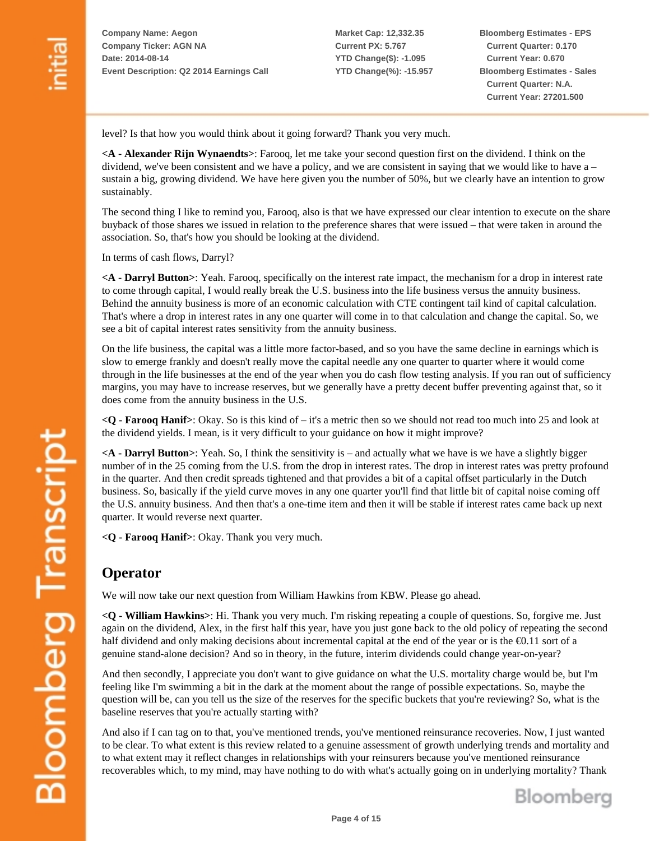**Market Cap: 12,332.35 Current PX: 5.767 YTD Change(\$): -1.095 YTD Change(%): -15.957** **Bloomberg Estimates - EPS Current Quarter: 0.170 Current Year: 0.670 Bloomberg Estimates - Sales Current Quarter: N.A. Current Year: 27201.500**

level? Is that how you would think about it going forward? Thank you very much.

**<A - Alexander Rijn Wynaendts>**: Farooq, let me take your second question first on the dividend. I think on the dividend, we've been consistent and we have a policy, and we are consistent in saying that we would like to have a – sustain a big, growing dividend. We have here given you the number of 50%, but we clearly have an intention to grow sustainably.

The second thing I like to remind you, Farooq, also is that we have expressed our clear intention to execute on the share buyback of those shares we issued in relation to the preference shares that were issued – that were taken in around the association. So, that's how you should be looking at the dividend.

In terms of cash flows, Darryl?

**<A - Darryl Button>**: Yeah. Farooq, specifically on the interest rate impact, the mechanism for a drop in interest rate to come through capital, I would really break the U.S. business into the life business versus the annuity business. Behind the annuity business is more of an economic calculation with CTE contingent tail kind of capital calculation. That's where a drop in interest rates in any one quarter will come in to that calculation and change the capital. So, we see a bit of capital interest rates sensitivity from the annuity business.

On the life business, the capital was a little more factor-based, and so you have the same decline in earnings which is slow to emerge frankly and doesn't really move the capital needle any one quarter to quarter where it would come through in the life businesses at the end of the year when you do cash flow testing analysis. If you ran out of sufficiency margins, you may have to increase reserves, but we generally have a pretty decent buffer preventing against that, so it does come from the annuity business in the U.S.

**<Q - Farooq Hanif>**: Okay. So is this kind of – it's a metric then so we should not read too much into 25 and look at the dividend yields. I mean, is it very difficult to your guidance on how it might improve?

**<A - Darryl Button>**: Yeah. So, I think the sensitivity is – and actually what we have is we have a slightly bigger number of in the 25 coming from the U.S. from the drop in interest rates. The drop in interest rates was pretty profound in the quarter. And then credit spreads tightened and that provides a bit of a capital offset particularly in the Dutch business. So, basically if the yield curve moves in any one quarter you'll find that little bit of capital noise coming off the U.S. annuity business. And then that's a one-time item and then it will be stable if interest rates came back up next quarter. It would reverse next quarter.

**<Q - Farooq Hanif>**: Okay. Thank you very much.

#### **Operator**

We will now take our next question from William Hawkins from KBW. Please go ahead.

**<Q - William Hawkins>**: Hi. Thank you very much. I'm risking repeating a couple of questions. So, forgive me. Just again on the dividend, Alex, in the first half this year, have you just gone back to the old policy of repeating the second half dividend and only making decisions about incremental capital at the end of the year or is the €0.11 sort of a genuine stand-alone decision? And so in theory, in the future, interim dividends could change year-on-year?

And then secondly, I appreciate you don't want to give guidance on what the U.S. mortality charge would be, but I'm feeling like I'm swimming a bit in the dark at the moment about the range of possible expectations. So, maybe the question will be, can you tell us the size of the reserves for the specific buckets that you're reviewing? So, what is the baseline reserves that you're actually starting with?

And also if I can tag on to that, you've mentioned trends, you've mentioned reinsurance recoveries. Now, I just wanted to be clear. To what extent is this review related to a genuine assessment of growth underlying trends and mortality and to what extent may it reflect changes in relationships with your reinsurers because you've mentioned reinsurance recoverables which, to my mind, may have nothing to do with what's actually going on in underlying mortality? Thank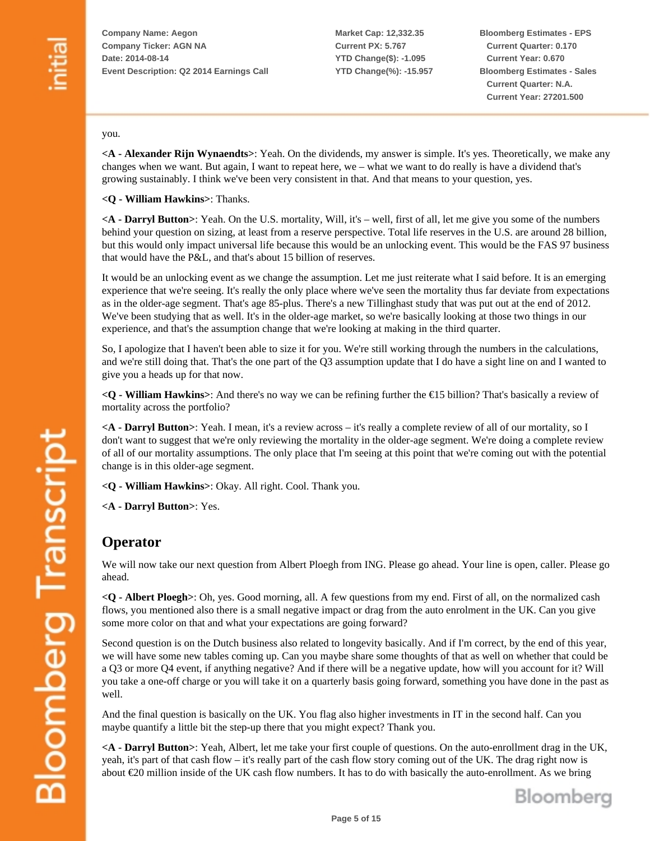**Market Cap: 12,332.35 Current PX: 5.767 YTD Change(\$): -1.095 YTD Change(%): -15.957** **Bloomberg Estimates - EPS Current Quarter: 0.170 Current Year: 0.670 Bloomberg Estimates - Sales Current Quarter: N.A. Current Year: 27201.500**

#### you.

**<A - Alexander Rijn Wynaendts>**: Yeah. On the dividends, my answer is simple. It's yes. Theoretically, we make any changes when we want. But again, I want to repeat here, we – what we want to do really is have a dividend that's growing sustainably. I think we've been very consistent in that. And that means to your question, yes.

**<Q - William Hawkins>**: Thanks.

**<A - Darryl Button>**: Yeah. On the U.S. mortality, Will, it's – well, first of all, let me give you some of the numbers behind your question on sizing, at least from a reserve perspective. Total life reserves in the U.S. are around 28 billion, but this would only impact universal life because this would be an unlocking event. This would be the FAS 97 business that would have the P&L, and that's about 15 billion of reserves.

It would be an unlocking event as we change the assumption. Let me just reiterate what I said before. It is an emerging experience that we're seeing. It's really the only place where we've seen the mortality thus far deviate from expectations as in the older-age segment. That's age 85-plus. There's a new Tillinghast study that was put out at the end of 2012. We've been studying that as well. It's in the older-age market, so we're basically looking at those two things in our experience, and that's the assumption change that we're looking at making in the third quarter.

So, I apologize that I haven't been able to size it for you. We're still working through the numbers in the calculations, and we're still doing that. That's the one part of the Q3 assumption update that I do have a sight line on and I wanted to give you a heads up for that now.

**<Q - William Hawkins>**: And there's no way we can be refining further the €15 billion? That's basically a review of mortality across the portfolio?

**<A - Darryl Button>**: Yeah. I mean, it's a review across – it's really a complete review of all of our mortality, so I don't want to suggest that we're only reviewing the mortality in the older-age segment. We're doing a complete review of all of our mortality assumptions. The only place that I'm seeing at this point that we're coming out with the potential change is in this older-age segment.

**<Q - William Hawkins>**: Okay. All right. Cool. Thank you.

**<A - Darryl Button>**: Yes.

#### **Operator**

We will now take our next question from Albert Ploegh from ING. Please go ahead. Your line is open, caller. Please go ahead.

**<Q - Albert Ploegh>**: Oh, yes. Good morning, all. A few questions from my end. First of all, on the normalized cash flows, you mentioned also there is a small negative impact or drag from the auto enrolment in the UK. Can you give some more color on that and what your expectations are going forward?

Second question is on the Dutch business also related to longevity basically. And if I'm correct, by the end of this year, we will have some new tables coming up. Can you maybe share some thoughts of that as well on whether that could be a Q3 or more Q4 event, if anything negative? And if there will be a negative update, how will you account for it? Will you take a one-off charge or you will take it on a quarterly basis going forward, something you have done in the past as well.

And the final question is basically on the UK. You flag also higher investments in IT in the second half. Can you maybe quantify a little bit the step-up there that you might expect? Thank you.

**<A - Darryl Button>**: Yeah, Albert, let me take your first couple of questions. On the auto-enrollment drag in the UK, yeah, it's part of that cash flow – it's really part of the cash flow story coming out of the UK. The drag right now is about €20 million inside of the UK cash flow numbers. It has to do with basically the auto-enrollment. As we bring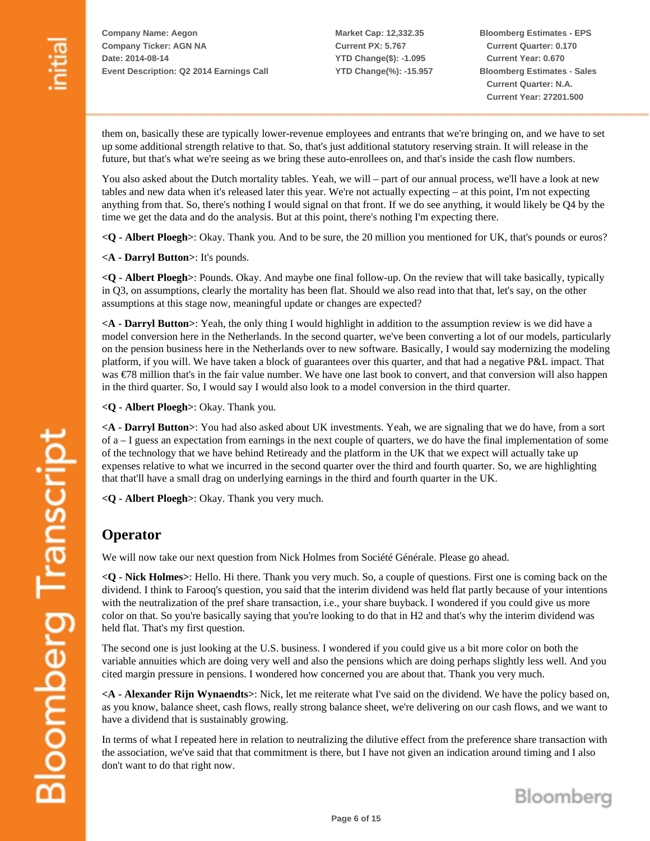**Market Cap: 12,332.35 Current PX: 5.767 YTD Change(\$): -1.095 YTD Change(%): -15.957** **Bloomberg Estimates - EPS Current Quarter: 0.170 Current Year: 0.670 Bloomberg Estimates - Sales Current Quarter: N.A. Current Year: 27201.500**

them on, basically these are typically lower-revenue employees and entrants that we're bringing on, and we have to set up some additional strength relative to that. So, that's just additional statutory reserving strain. It will release in the future, but that's what we're seeing as we bring these auto-enrollees on, and that's inside the cash flow numbers.

You also asked about the Dutch mortality tables. Yeah, we will – part of our annual process, we'll have a look at new tables and new data when it's released later this year. We're not actually expecting – at this point, I'm not expecting anything from that. So, there's nothing I would signal on that front. If we do see anything, it would likely be Q4 by the time we get the data and do the analysis. But at this point, there's nothing I'm expecting there.

**<Q - Albert Ploegh>**: Okay. Thank you. And to be sure, the 20 million you mentioned for UK, that's pounds or euros?

**<A - Darryl Button>**: It's pounds.

**<Q - Albert Ploegh>**: Pounds. Okay. And maybe one final follow-up. On the review that will take basically, typically in Q3, on assumptions, clearly the mortality has been flat. Should we also read into that that, let's say, on the other assumptions at this stage now, meaningful update or changes are expected?

**<A - Darryl Button>**: Yeah, the only thing I would highlight in addition to the assumption review is we did have a model conversion here in the Netherlands. In the second quarter, we've been converting a lot of our models, particularly on the pension business here in the Netherlands over to new software. Basically, I would say modernizing the modeling platform, if you will. We have taken a block of guarantees over this quarter, and that had a negative P&L impact. That was €78 million that's in the fair value number. We have one last book to convert, and that conversion will also happen in the third quarter. So, I would say I would also look to a model conversion in the third quarter.

**<Q - Albert Ploegh>**: Okay. Thank you.

**<A - Darryl Button>**: You had also asked about UK investments. Yeah, we are signaling that we do have, from a sort of a – I guess an expectation from earnings in the next couple of quarters, we do have the final implementation of some of the technology that we have behind Retiready and the platform in the UK that we expect will actually take up expenses relative to what we incurred in the second quarter over the third and fourth quarter. So, we are highlighting that that'll have a small drag on underlying earnings in the third and fourth quarter in the UK.

**<Q - Albert Ploegh>**: Okay. Thank you very much.

#### **Operator**

We will now take our next question from Nick Holmes from Société Générale. Please go ahead.

**<Q - Nick Holmes>**: Hello. Hi there. Thank you very much. So, a couple of questions. First one is coming back on the dividend. I think to Farooq's question, you said that the interim dividend was held flat partly because of your intentions with the neutralization of the pref share transaction, i.e., your share buyback. I wondered if you could give us more color on that. So you're basically saying that you're looking to do that in H2 and that's why the interim dividend was held flat. That's my first question.

The second one is just looking at the U.S. business. I wondered if you could give us a bit more color on both the variable annuities which are doing very well and also the pensions which are doing perhaps slightly less well. And you cited margin pressure in pensions. I wondered how concerned you are about that. Thank you very much.

**<A - Alexander Rijn Wynaendts>**: Nick, let me reiterate what I've said on the dividend. We have the policy based on, as you know, balance sheet, cash flows, really strong balance sheet, we're delivering on our cash flows, and we want to have a dividend that is sustainably growing.

In terms of what I repeated here in relation to neutralizing the dilutive effect from the preference share transaction with the association, we've said that that commitment is there, but I have not given an indication around timing and I also don't want to do that right now.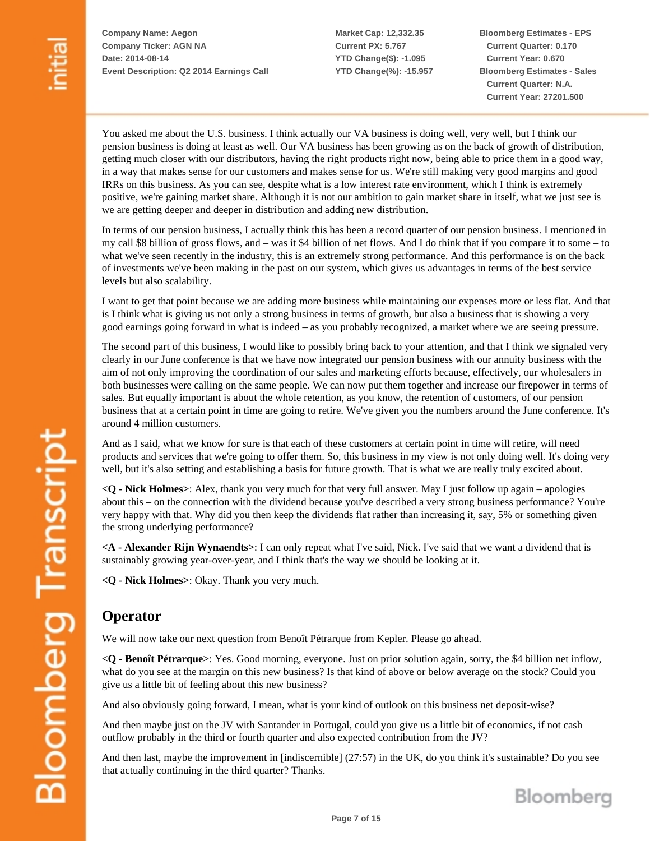**Market Cap: 12,332.35 Current PX: 5.767 YTD Change(\$): -1.095 YTD Change(%): -15.957** **Bloomberg Estimates - EPS Current Quarter: 0.170 Current Year: 0.670 Bloomberg Estimates - Sales Current Quarter: N.A. Current Year: 27201.500**

You asked me about the U.S. business. I think actually our VA business is doing well, very well, but I think our pension business is doing at least as well. Our VA business has been growing as on the back of growth of distribution, getting much closer with our distributors, having the right products right now, being able to price them in a good way, in a way that makes sense for our customers and makes sense for us. We're still making very good margins and good IRRs on this business. As you can see, despite what is a low interest rate environment, which I think is extremely positive, we're gaining market share. Although it is not our ambition to gain market share in itself, what we just see is we are getting deeper and deeper in distribution and adding new distribution.

In terms of our pension business, I actually think this has been a record quarter of our pension business. I mentioned in my call \$8 billion of gross flows, and – was it \$4 billion of net flows. And I do think that if you compare it to some – to what we've seen recently in the industry, this is an extremely strong performance. And this performance is on the back of investments we've been making in the past on our system, which gives us advantages in terms of the best service levels but also scalability.

I want to get that point because we are adding more business while maintaining our expenses more or less flat. And that is I think what is giving us not only a strong business in terms of growth, but also a business that is showing a very good earnings going forward in what is indeed – as you probably recognized, a market where we are seeing pressure.

The second part of this business, I would like to possibly bring back to your attention, and that I think we signaled very clearly in our June conference is that we have now integrated our pension business with our annuity business with the aim of not only improving the coordination of our sales and marketing efforts because, effectively, our wholesalers in both businesses were calling on the same people. We can now put them together and increase our firepower in terms of sales. But equally important is about the whole retention, as you know, the retention of customers, of our pension business that at a certain point in time are going to retire. We've given you the numbers around the June conference. It's around 4 million customers.

And as I said, what we know for sure is that each of these customers at certain point in time will retire, will need products and services that we're going to offer them. So, this business in my view is not only doing well. It's doing very well, but it's also setting and establishing a basis for future growth. That is what we are really truly excited about.

**<Q - Nick Holmes>**: Alex, thank you very much for that very full answer. May I just follow up again – apologies about this – on the connection with the dividend because you've described a very strong business performance? You're very happy with that. Why did you then keep the dividends flat rather than increasing it, say, 5% or something given the strong underlying performance?

**<A - Alexander Rijn Wynaendts>**: I can only repeat what I've said, Nick. I've said that we want a dividend that is sustainably growing year-over-year, and I think that's the way we should be looking at it.

**<Q - Nick Holmes>**: Okay. Thank you very much.

## **Operator**

We will now take our next question from Benoît Pétrarque from Kepler. Please go ahead.

**<Q - Benoît Pétrarque>**: Yes. Good morning, everyone. Just on prior solution again, sorry, the \$4 billion net inflow, what do you see at the margin on this new business? Is that kind of above or below average on the stock? Could you give us a little bit of feeling about this new business?

And also obviously going forward, I mean, what is your kind of outlook on this business net deposit-wise?

And then maybe just on the JV with Santander in Portugal, could you give us a little bit of economics, if not cash outflow probably in the third or fourth quarter and also expected contribution from the JV?

And then last, maybe the improvement in [indiscernible] (27:57) in the UK, do you think it's sustainable? Do you see that actually continuing in the third quarter? Thanks.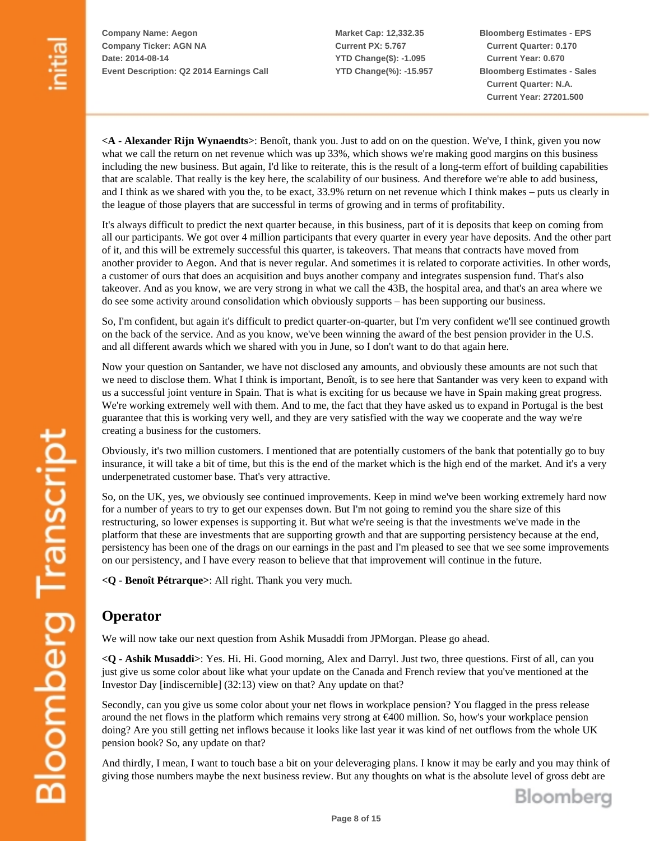**Market Cap: 12,332.35 Current PX: 5.767 YTD Change(\$): -1.095 YTD Change(%): -15.957** **Bloomberg Estimates - EPS Current Quarter: 0.170 Current Year: 0.670 Bloomberg Estimates - Sales Current Quarter: N.A. Current Year: 27201.500**

**<A - Alexander Rijn Wynaendts>**: Benoît, thank you. Just to add on on the question. We've, I think, given you now what we call the return on net revenue which was up 33%, which shows we're making good margins on this business including the new business. But again, I'd like to reiterate, this is the result of a long-term effort of building capabilities that are scalable. That really is the key here, the scalability of our business. And therefore we're able to add business, and I think as we shared with you the, to be exact, 33.9% return on net revenue which I think makes – puts us clearly in the league of those players that are successful in terms of growing and in terms of profitability.

It's always difficult to predict the next quarter because, in this business, part of it is deposits that keep on coming from all our participants. We got over 4 million participants that every quarter in every year have deposits. And the other part of it, and this will be extremely successful this quarter, is takeovers. That means that contracts have moved from another provider to Aegon. And that is never regular. And sometimes it is related to corporate activities. In other words, a customer of ours that does an acquisition and buys another company and integrates suspension fund. That's also takeover. And as you know, we are very strong in what we call the 43B, the hospital area, and that's an area where we do see some activity around consolidation which obviously supports – has been supporting our business.

So, I'm confident, but again it's difficult to predict quarter-on-quarter, but I'm very confident we'll see continued growth on the back of the service. And as you know, we've been winning the award of the best pension provider in the U.S. and all different awards which we shared with you in June, so I don't want to do that again here.

Now your question on Santander, we have not disclosed any amounts, and obviously these amounts are not such that we need to disclose them. What I think is important, Benoît, is to see here that Santander was very keen to expand with us a successful joint venture in Spain. That is what is exciting for us because we have in Spain making great progress. We're working extremely well with them. And to me, the fact that they have asked us to expand in Portugal is the best guarantee that this is working very well, and they are very satisfied with the way we cooperate and the way we're creating a business for the customers.

Obviously, it's two million customers. I mentioned that are potentially customers of the bank that potentially go to buy insurance, it will take a bit of time, but this is the end of the market which is the high end of the market. And it's a very underpenetrated customer base. That's very attractive.

So, on the UK, yes, we obviously see continued improvements. Keep in mind we've been working extremely hard now for a number of years to try to get our expenses down. But I'm not going to remind you the share size of this restructuring, so lower expenses is supporting it. But what we're seeing is that the investments we've made in the platform that these are investments that are supporting growth and that are supporting persistency because at the end, persistency has been one of the drags on our earnings in the past and I'm pleased to see that we see some improvements on our persistency, and I have every reason to believe that that improvement will continue in the future.

**<Q - Benoît Pétrarque>**: All right. Thank you very much.

# **Operator**

We will now take our next question from Ashik Musaddi from JPMorgan. Please go ahead.

**<Q - Ashik Musaddi>**: Yes. Hi. Hi. Good morning, Alex and Darryl. Just two, three questions. First of all, can you just give us some color about like what your update on the Canada and French review that you've mentioned at the Investor Day [indiscernible] (32:13) view on that? Any update on that?

Secondly, can you give us some color about your net flows in workplace pension? You flagged in the press release around the net flows in the platform which remains very strong at €400 million. So, how's your workplace pension doing? Are you still getting net inflows because it looks like last year it was kind of net outflows from the whole UK pension book? So, any update on that?

And thirdly, I mean, I want to touch base a bit on your deleveraging plans. I know it may be early and you may think of giving those numbers maybe the next business review. But any thoughts on what is the absolute level of gross debt are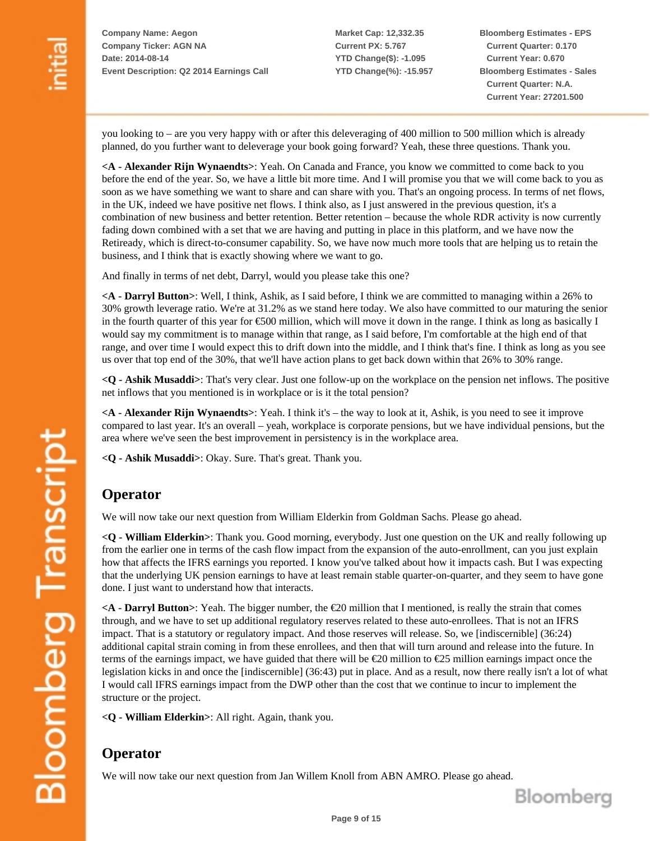**Market Cap: 12,332.35 Current PX: 5.767 YTD Change(\$): -1.095 YTD Change(%): -15.957** **Bloomberg Estimates - EPS Current Quarter: 0.170 Current Year: 0.670 Bloomberg Estimates - Sales Current Quarter: N.A. Current Year: 27201.500**

you looking to – are you very happy with or after this deleveraging of 400 million to 500 million which is already planned, do you further want to deleverage your book going forward? Yeah, these three questions. Thank you.

**<A - Alexander Rijn Wynaendts>**: Yeah. On Canada and France, you know we committed to come back to you before the end of the year. So, we have a little bit more time. And I will promise you that we will come back to you as soon as we have something we want to share and can share with you. That's an ongoing process. In terms of net flows, in the UK, indeed we have positive net flows. I think also, as I just answered in the previous question, it's a combination of new business and better retention. Better retention – because the whole RDR activity is now currently fading down combined with a set that we are having and putting in place in this platform, and we have now the Retiready, which is direct-to-consumer capability. So, we have now much more tools that are helping us to retain the business, and I think that is exactly showing where we want to go.

And finally in terms of net debt, Darryl, would you please take this one?

**<A - Darryl Button>**: Well, I think, Ashik, as I said before, I think we are committed to managing within a 26% to 30% growth leverage ratio. We're at 31.2% as we stand here today. We also have committed to our maturing the senior in the fourth quarter of this year for €500 million, which will move it down in the range. I think as long as basically I would say my commitment is to manage within that range, as I said before, I'm comfortable at the high end of that range, and over time I would expect this to drift down into the middle, and I think that's fine. I think as long as you see us over that top end of the 30%, that we'll have action plans to get back down within that 26% to 30% range.

**<Q - Ashik Musaddi>**: That's very clear. Just one follow-up on the workplace on the pension net inflows. The positive net inflows that you mentioned is in workplace or is it the total pension?

**<A - Alexander Rijn Wynaendts>**: Yeah. I think it's – the way to look at it, Ashik, is you need to see it improve compared to last year. It's an overall – yeah, workplace is corporate pensions, but we have individual pensions, but the area where we've seen the best improvement in persistency is in the workplace area.

**<Q - Ashik Musaddi>**: Okay. Sure. That's great. Thank you.

# **Operator**

We will now take our next question from William Elderkin from Goldman Sachs. Please go ahead.

**<Q - William Elderkin>**: Thank you. Good morning, everybody. Just one question on the UK and really following up from the earlier one in terms of the cash flow impact from the expansion of the auto-enrollment, can you just explain how that affects the IFRS earnings you reported. I know you've talked about how it impacts cash. But I was expecting that the underlying UK pension earnings to have at least remain stable quarter-on-quarter, and they seem to have gone done. I just want to understand how that interacts.

**<A - Darryl Button>**: Yeah. The bigger number, the €20 million that I mentioned, is really the strain that comes through, and we have to set up additional regulatory reserves related to these auto-enrollees. That is not an IFRS impact. That is a statutory or regulatory impact. And those reserves will release. So, we [indiscernible] (36:24) additional capital strain coming in from these enrollees, and then that will turn around and release into the future. In terms of the earnings impact, we have guided that there will be €20 million to €25 million earnings impact once the legislation kicks in and once the [indiscernible] (36:43) put in place. And as a result, now there really isn't a lot of what I would call IFRS earnings impact from the DWP other than the cost that we continue to incur to implement the structure or the project.

**<Q - William Elderkin>**: All right. Again, thank you.

# **Operator**

We will now take our next question from Jan Willem Knoll from ABN AMRO. Please go ahead.

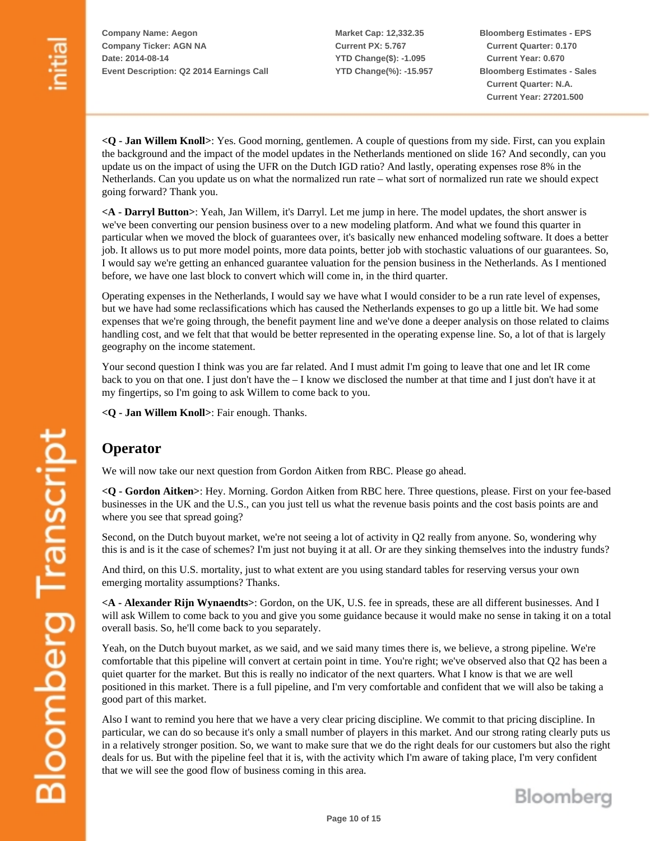**Market Cap: 12,332.35 Current PX: 5.767 YTD Change(\$): -1.095 YTD Change(%): -15.957** **Bloomberg Estimates - EPS Current Quarter: 0.170 Current Year: 0.670 Bloomberg Estimates - Sales Current Quarter: N.A. Current Year: 27201.500**

**<Q - Jan Willem Knoll>**: Yes. Good morning, gentlemen. A couple of questions from my side. First, can you explain the background and the impact of the model updates in the Netherlands mentioned on slide 16? And secondly, can you update us on the impact of using the UFR on the Dutch IGD ratio? And lastly, operating expenses rose 8% in the Netherlands. Can you update us on what the normalized run rate – what sort of normalized run rate we should expect going forward? Thank you.

**<A - Darryl Button>**: Yeah, Jan Willem, it's Darryl. Let me jump in here. The model updates, the short answer is we've been converting our pension business over to a new modeling platform. And what we found this quarter in particular when we moved the block of guarantees over, it's basically new enhanced modeling software. It does a better job. It allows us to put more model points, more data points, better job with stochastic valuations of our guarantees. So, I would say we're getting an enhanced guarantee valuation for the pension business in the Netherlands. As I mentioned before, we have one last block to convert which will come in, in the third quarter.

Operating expenses in the Netherlands, I would say we have what I would consider to be a run rate level of expenses, but we have had some reclassifications which has caused the Netherlands expenses to go up a little bit. We had some expenses that we're going through, the benefit payment line and we've done a deeper analysis on those related to claims handling cost, and we felt that that would be better represented in the operating expense line. So, a lot of that is largely geography on the income statement.

Your second question I think was you are far related. And I must admit I'm going to leave that one and let IR come back to you on that one. I just don't have the – I know we disclosed the number at that time and I just don't have it at my fingertips, so I'm going to ask Willem to come back to you.

**<Q - Jan Willem Knoll>**: Fair enough. Thanks.

# **Operator**

We will now take our next question from Gordon Aitken from RBC. Please go ahead.

**<Q - Gordon Aitken>**: Hey. Morning. Gordon Aitken from RBC here. Three questions, please. First on your fee-based businesses in the UK and the U.S., can you just tell us what the revenue basis points and the cost basis points are and where you see that spread going?

Second, on the Dutch buyout market, we're not seeing a lot of activity in Q2 really from anyone. So, wondering why this is and is it the case of schemes? I'm just not buying it at all. Or are they sinking themselves into the industry funds?

And third, on this U.S. mortality, just to what extent are you using standard tables for reserving versus your own emerging mortality assumptions? Thanks.

**<A - Alexander Rijn Wynaendts>**: Gordon, on the UK, U.S. fee in spreads, these are all different businesses. And I will ask Willem to come back to you and give you some guidance because it would make no sense in taking it on a total overall basis. So, he'll come back to you separately.

Yeah, on the Dutch buyout market, as we said, and we said many times there is, we believe, a strong pipeline. We're comfortable that this pipeline will convert at certain point in time. You're right; we've observed also that Q2 has been a quiet quarter for the market. But this is really no indicator of the next quarters. What I know is that we are well positioned in this market. There is a full pipeline, and I'm very comfortable and confident that we will also be taking a good part of this market.

Also I want to remind you here that we have a very clear pricing discipline. We commit to that pricing discipline. In particular, we can do so because it's only a small number of players in this market. And our strong rating clearly puts us in a relatively stronger position. So, we want to make sure that we do the right deals for our customers but also the right deals for us. But with the pipeline feel that it is, with the activity which I'm aware of taking place, I'm very confident that we will see the good flow of business coming in this area.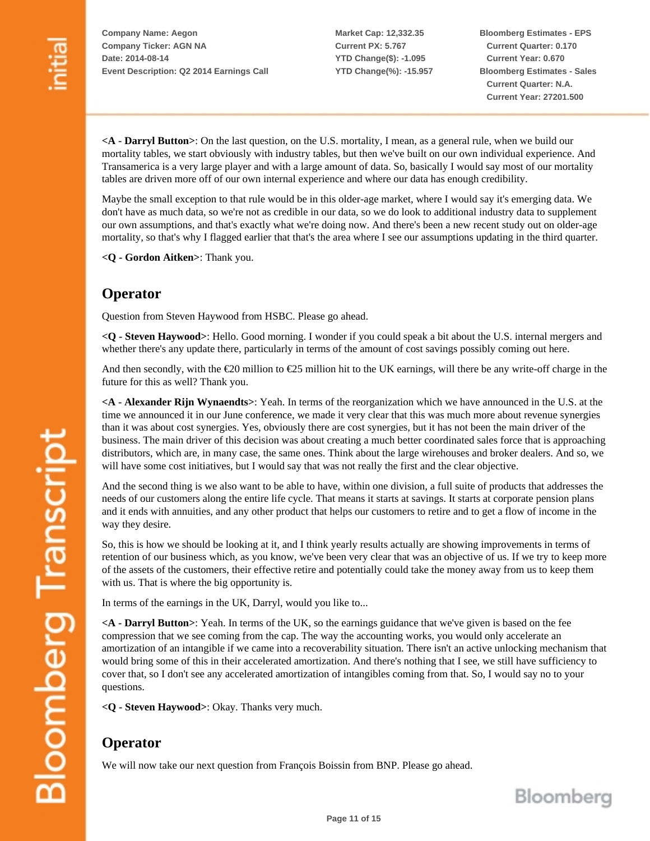**Market Cap: 12,332.35 Current PX: 5.767 YTD Change(\$): -1.095 YTD Change(%): -15.957** **Bloomberg Estimates - EPS Current Quarter: 0.170 Current Year: 0.670 Bloomberg Estimates - Sales Current Quarter: N.A. Current Year: 27201.500**

**<A - Darryl Button>**: On the last question, on the U.S. mortality, I mean, as a general rule, when we build our mortality tables, we start obviously with industry tables, but then we've built on our own individual experience. And Transamerica is a very large player and with a large amount of data. So, basically I would say most of our mortality tables are driven more off of our own internal experience and where our data has enough credibility.

Maybe the small exception to that rule would be in this older-age market, where I would say it's emerging data. We don't have as much data, so we're not as credible in our data, so we do look to additional industry data to supplement our own assumptions, and that's exactly what we're doing now. And there's been a new recent study out on older-age mortality, so that's why I flagged earlier that that's the area where I see our assumptions updating in the third quarter.

**<Q - Gordon Aitken>**: Thank you.

## **Operator**

Question from Steven Haywood from HSBC. Please go ahead.

**<Q - Steven Haywood>**: Hello. Good morning. I wonder if you could speak a bit about the U.S. internal mergers and whether there's any update there, particularly in terms of the amount of cost savings possibly coming out here.

And then secondly, with the  $\epsilon$ 20 million to  $\epsilon$ 25 million hit to the UK earnings, will there be any write-off charge in the future for this as well? Thank you.

**<A - Alexander Rijn Wynaendts>**: Yeah. In terms of the reorganization which we have announced in the U.S. at the time we announced it in our June conference, we made it very clear that this was much more about revenue synergies than it was about cost synergies. Yes, obviously there are cost synergies, but it has not been the main driver of the business. The main driver of this decision was about creating a much better coordinated sales force that is approaching distributors, which are, in many case, the same ones. Think about the large wirehouses and broker dealers. And so, we will have some cost initiatives, but I would say that was not really the first and the clear objective.

And the second thing is we also want to be able to have, within one division, a full suite of products that addresses the needs of our customers along the entire life cycle. That means it starts at savings. It starts at corporate pension plans and it ends with annuities, and any other product that helps our customers to retire and to get a flow of income in the way they desire.

So, this is how we should be looking at it, and I think yearly results actually are showing improvements in terms of retention of our business which, as you know, we've been very clear that was an objective of us. If we try to keep more of the assets of the customers, their effective retire and potentially could take the money away from us to keep them with us. That is where the big opportunity is.

In terms of the earnings in the UK, Darryl, would you like to...

**<A - Darryl Button>**: Yeah. In terms of the UK, so the earnings guidance that we've given is based on the fee compression that we see coming from the cap. The way the accounting works, you would only accelerate an amortization of an intangible if we came into a recoverability situation. There isn't an active unlocking mechanism that would bring some of this in their accelerated amortization. And there's nothing that I see, we still have sufficiency to cover that, so I don't see any accelerated amortization of intangibles coming from that. So, I would say no to your questions.

**<Q - Steven Haywood>**: Okay. Thanks very much.

## **Operator**

We will now take our next question from François Boissin from BNP. Please go ahead.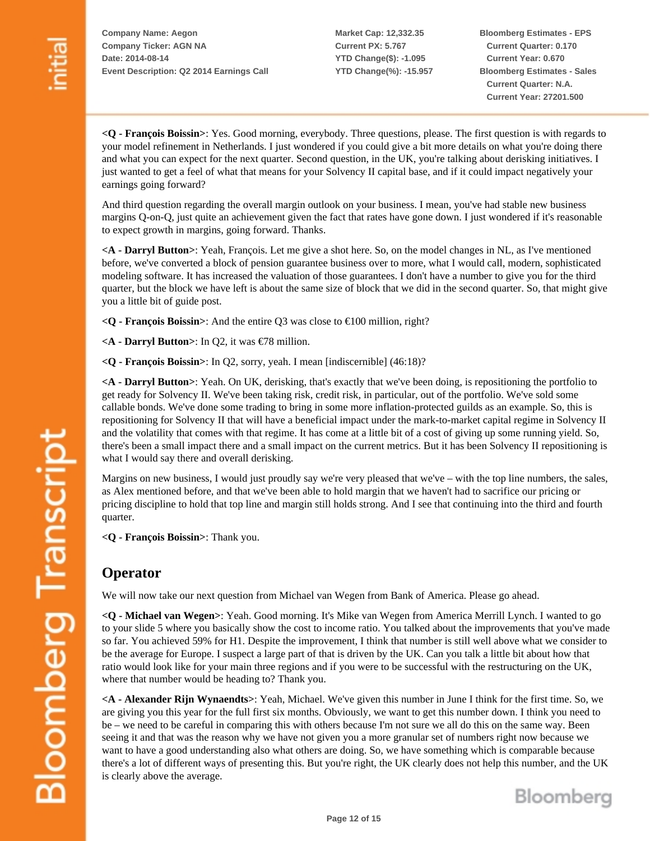**Market Cap: 12,332.35 Current PX: 5.767 YTD Change(\$): -1.095 YTD Change(%): -15.957** **Bloomberg Estimates - EPS Current Quarter: 0.170 Current Year: 0.670 Bloomberg Estimates - Sales Current Quarter: N.A. Current Year: 27201.500**

**<Q - François Boissin>**: Yes. Good morning, everybody. Three questions, please. The first question is with regards to your model refinement in Netherlands. I just wondered if you could give a bit more details on what you're doing there and what you can expect for the next quarter. Second question, in the UK, you're talking about derisking initiatives. I just wanted to get a feel of what that means for your Solvency II capital base, and if it could impact negatively your earnings going forward?

And third question regarding the overall margin outlook on your business. I mean, you've had stable new business margins Q-on-Q, just quite an achievement given the fact that rates have gone down. I just wondered if it's reasonable to expect growth in margins, going forward. Thanks.

**<A - Darryl Button>**: Yeah, François. Let me give a shot here. So, on the model changes in NL, as I've mentioned before, we've converted a block of pension guarantee business over to more, what I would call, modern, sophisticated modeling software. It has increased the valuation of those guarantees. I don't have a number to give you for the third quarter, but the block we have left is about the same size of block that we did in the second quarter. So, that might give you a little bit of guide post.

**<Q - François Boissin>**: And the entire Q3 was close to €100 million, right?

**<A - Darryl Button>**: In Q2, it was €78 million.

**<Q - François Boissin>**: In Q2, sorry, yeah. I mean [indiscernible] (46:18)?

**<A - Darryl Button>**: Yeah. On UK, derisking, that's exactly that we've been doing, is repositioning the portfolio to get ready for Solvency II. We've been taking risk, credit risk, in particular, out of the portfolio. We've sold some callable bonds. We've done some trading to bring in some more inflation-protected guilds as an example. So, this is repositioning for Solvency II that will have a beneficial impact under the mark-to-market capital regime in Solvency II and the volatility that comes with that regime. It has come at a little bit of a cost of giving up some running yield. So, there's been a small impact there and a small impact on the current metrics. But it has been Solvency II repositioning is what I would say there and overall derisking.

Margins on new business, I would just proudly say we're very pleased that we've – with the top line numbers, the sales, as Alex mentioned before, and that we've been able to hold margin that we haven't had to sacrifice our pricing or pricing discipline to hold that top line and margin still holds strong. And I see that continuing into the third and fourth quarter.

**<Q - François Boissin>**: Thank you.

#### **Operator**

We will now take our next question from Michael van Wegen from Bank of America. Please go ahead.

**<Q - Michael van Wegen>**: Yeah. Good morning. It's Mike van Wegen from America Merrill Lynch. I wanted to go to your slide 5 where you basically show the cost to income ratio. You talked about the improvements that you've made so far. You achieved 59% for H1. Despite the improvement, I think that number is still well above what we consider to be the average for Europe. I suspect a large part of that is driven by the UK. Can you talk a little bit about how that ratio would look like for your main three regions and if you were to be successful with the restructuring on the UK, where that number would be heading to? Thank you.

**<A - Alexander Rijn Wynaendts>**: Yeah, Michael. We've given this number in June I think for the first time. So, we are giving you this year for the full first six months. Obviously, we want to get this number down. I think you need to be – we need to be careful in comparing this with others because I'm not sure we all do this on the same way. Been seeing it and that was the reason why we have not given you a more granular set of numbers right now because we want to have a good understanding also what others are doing. So, we have something which is comparable because there's a lot of different ways of presenting this. But you're right, the UK clearly does not help this number, and the UK is clearly above the average.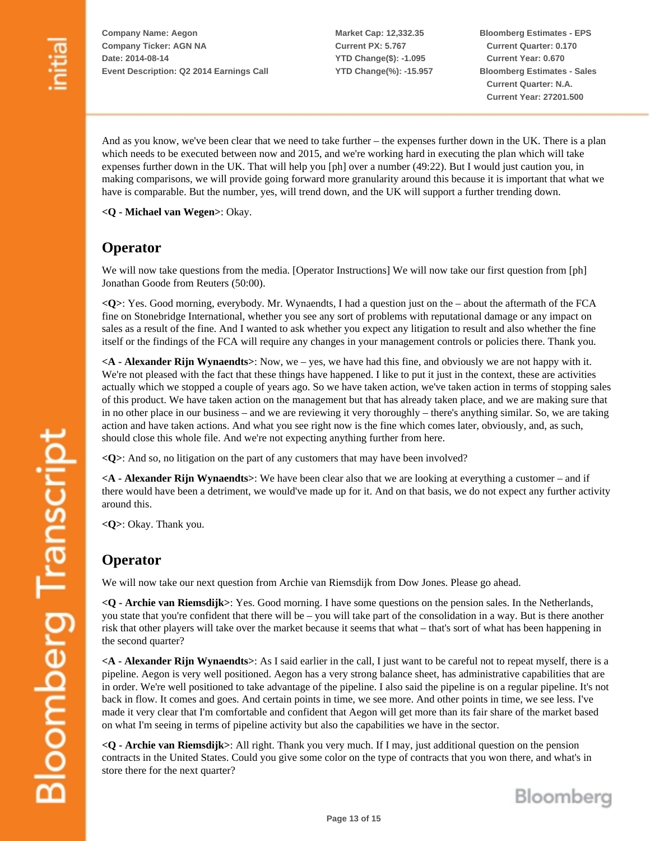**Market Cap: 12,332.35 Current PX: 5.767 YTD Change(\$): -1.095 YTD Change(%): -15.957** **Bloomberg Estimates - EPS Current Quarter: 0.170 Current Year: 0.670 Bloomberg Estimates - Sales Current Quarter: N.A. Current Year: 27201.500**

And as you know, we've been clear that we need to take further – the expenses further down in the UK. There is a plan which needs to be executed between now and 2015, and we're working hard in executing the plan which will take expenses further down in the UK. That will help you [ph] over a number (49:22). But I would just caution you, in making comparisons, we will provide going forward more granularity around this because it is important that what we have is comparable. But the number, yes, will trend down, and the UK will support a further trending down.

**<Q - Michael van Wegen>**: Okay.

### **Operator**

We will now take questions from the media. [Operator Instructions] We will now take our first question from [ph] Jonathan Goode from Reuters (50:00).

**<Q>**: Yes. Good morning, everybody. Mr. Wynaendts, I had a question just on the – about the aftermath of the FCA fine on Stonebridge International, whether you see any sort of problems with reputational damage or any impact on sales as a result of the fine. And I wanted to ask whether you expect any litigation to result and also whether the fine itself or the findings of the FCA will require any changes in your management controls or policies there. Thank you.

**<A - Alexander Rijn Wynaendts>**: Now, we – yes, we have had this fine, and obviously we are not happy with it. We're not pleased with the fact that these things have happened. I like to put it just in the context, these are activities actually which we stopped a couple of years ago. So we have taken action, we've taken action in terms of stopping sales of this product. We have taken action on the management but that has already taken place, and we are making sure that in no other place in our business – and we are reviewing it very thoroughly – there's anything similar. So, we are taking action and have taken actions. And what you see right now is the fine which comes later, obviously, and, as such, should close this whole file. And we're not expecting anything further from here.

**<Q>**: And so, no litigation on the part of any customers that may have been involved?

**<A - Alexander Rijn Wynaendts>**: We have been clear also that we are looking at everything a customer – and if there would have been a detriment, we would've made up for it. And on that basis, we do not expect any further activity around this.

**<Q>**: Okay. Thank you.

# **Operator**

We will now take our next question from Archie van Riemsdijk from Dow Jones. Please go ahead.

**<Q - Archie van Riemsdijk>**: Yes. Good morning. I have some questions on the pension sales. In the Netherlands, you state that you're confident that there will be – you will take part of the consolidation in a way. But is there another risk that other players will take over the market because it seems that what – that's sort of what has been happening in the second quarter?

**<A - Alexander Rijn Wynaendts>**: As I said earlier in the call, I just want to be careful not to repeat myself, there is a pipeline. Aegon is very well positioned. Aegon has a very strong balance sheet, has administrative capabilities that are in order. We're well positioned to take advantage of the pipeline. I also said the pipeline is on a regular pipeline. It's not back in flow. It comes and goes. And certain points in time, we see more. And other points in time, we see less. I've made it very clear that I'm comfortable and confident that Aegon will get more than its fair share of the market based on what I'm seeing in terms of pipeline activity but also the capabilities we have in the sector.

**<Q - Archie van Riemsdijk>**: All right. Thank you very much. If I may, just additional question on the pension contracts in the United States. Could you give some color on the type of contracts that you won there, and what's in store there for the next quarter?

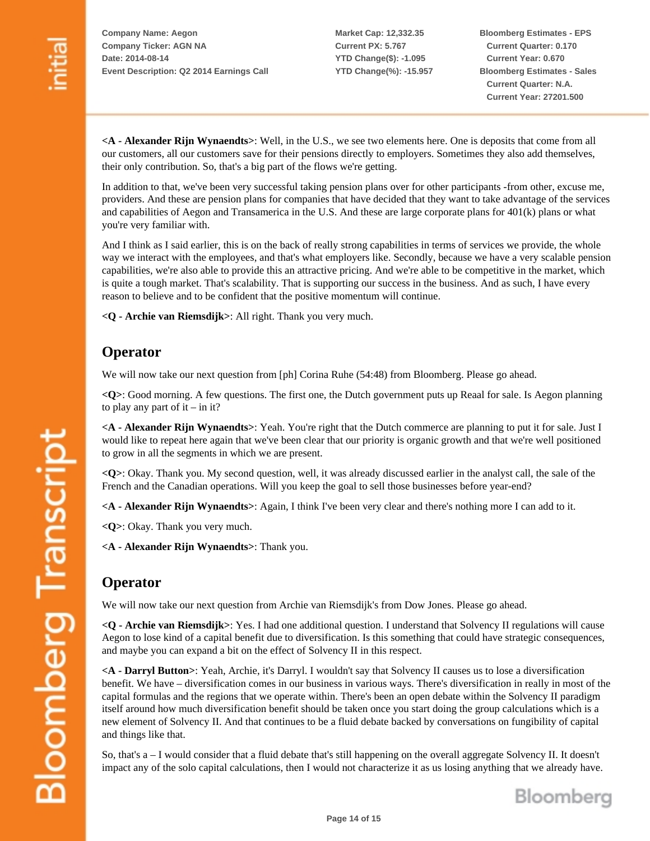**Market Cap: 12,332.35 Current PX: 5.767 YTD Change(\$): -1.095 YTD Change(%): -15.957** **Bloomberg Estimates - EPS Current Quarter: 0.170 Current Year: 0.670 Bloomberg Estimates - Sales Current Quarter: N.A. Current Year: 27201.500**

**<A - Alexander Rijn Wynaendts>**: Well, in the U.S., we see two elements here. One is deposits that come from all our customers, all our customers save for their pensions directly to employers. Sometimes they also add themselves, their only contribution. So, that's a big part of the flows we're getting.

In addition to that, we've been very successful taking pension plans over for other participants -from other, excuse me, providers. And these are pension plans for companies that have decided that they want to take advantage of the services and capabilities of Aegon and Transamerica in the U.S. And these are large corporate plans for 401(k) plans or what you're very familiar with.

And I think as I said earlier, this is on the back of really strong capabilities in terms of services we provide, the whole way we interact with the employees, and that's what employers like. Secondly, because we have a very scalable pension capabilities, we're also able to provide this an attractive pricing. And we're able to be competitive in the market, which is quite a tough market. That's scalability. That is supporting our success in the business. And as such, I have every reason to believe and to be confident that the positive momentum will continue.

**<Q - Archie van Riemsdijk>**: All right. Thank you very much.

### **Operator**

We will now take our next question from [ph] Corina Ruhe (54:48) from Bloomberg. Please go ahead.

**<Q>**: Good morning. A few questions. The first one, the Dutch government puts up Reaal for sale. Is Aegon planning to play any part of  $it - in it?$ 

**<A - Alexander Rijn Wynaendts>**: Yeah. You're right that the Dutch commerce are planning to put it for sale. Just I would like to repeat here again that we've been clear that our priority is organic growth and that we're well positioned to grow in all the segments in which we are present.

**<Q>**: Okay. Thank you. My second question, well, it was already discussed earlier in the analyst call, the sale of the French and the Canadian operations. Will you keep the goal to sell those businesses before year-end?

**<A - Alexander Rijn Wynaendts>**: Again, I think I've been very clear and there's nothing more I can add to it.

**<Q>**: Okay. Thank you very much.

**<A - Alexander Rijn Wynaendts>**: Thank you.

#### **Operator**

**Bloomberg Transcript** 

We will now take our next question from Archie van Riemsdijk's from Dow Jones. Please go ahead.

**<Q - Archie van Riemsdijk>**: Yes. I had one additional question. I understand that Solvency II regulations will cause Aegon to lose kind of a capital benefit due to diversification. Is this something that could have strategic consequences, and maybe you can expand a bit on the effect of Solvency II in this respect.

**<A - Darryl Button>**: Yeah, Archie, it's Darryl. I wouldn't say that Solvency II causes us to lose a diversification benefit. We have – diversification comes in our business in various ways. There's diversification in really in most of the capital formulas and the regions that we operate within. There's been an open debate within the Solvency II paradigm itself around how much diversification benefit should be taken once you start doing the group calculations which is a new element of Solvency II. And that continues to be a fluid debate backed by conversations on fungibility of capital and things like that.

So, that's a – I would consider that a fluid debate that's still happening on the overall aggregate Solvency II. It doesn't impact any of the solo capital calculations, then I would not characterize it as us losing anything that we already have.